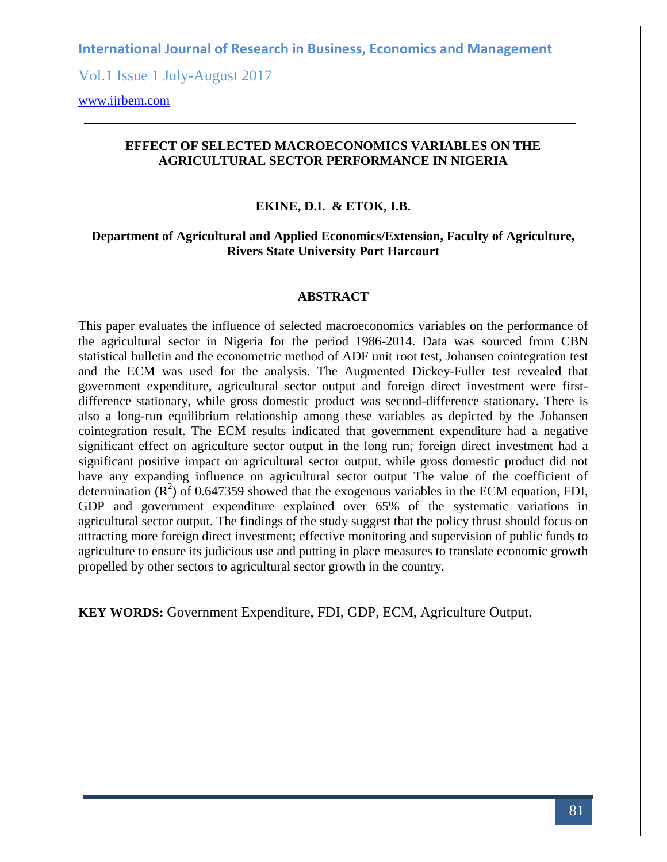Vol.1 Issue 1 July-August 2017

[www.ijrbem.com](http://www.ijrbem.com/)

# **EFFECT OF SELECTED MACROECONOMICS VARIABLES ON THE AGRICULTURAL SECTOR PERFORMANCE IN NIGERIA**

#### **EKINE, D.I. & ETOK, I.B.**

## **Department of Agricultural and Applied Economics/Extension, Faculty of Agriculture, Rivers State University Port Harcourt**

#### **ABSTRACT**

This paper evaluates the influence of selected macroeconomics variables on the performance of the agricultural sector in Nigeria for the period 1986-2014. Data was sourced from CBN statistical bulletin and the econometric method of ADF unit root test, Johansen cointegration test and the ECM was used for the analysis. The Augmented Dickey-Fuller test revealed that government expenditure, agricultural sector output and foreign direct investment were firstdifference stationary, while gross domestic product was second-difference stationary. There is also a long-run equilibrium relationship among these variables as depicted by the Johansen cointegration result. The ECM results indicated that government expenditure had a negative significant effect on agriculture sector output in the long run; foreign direct investment had a significant positive impact on agricultural sector output, while gross domestic product did not have any expanding influence on agricultural sector output The value of the coefficient of determination  $(R^2)$  of 0.647359 showed that the exogenous variables in the ECM equation, FDI, GDP and government expenditure explained over 65% of the systematic variations in agricultural sector output. The findings of the study suggest that the policy thrust should focus on attracting more foreign direct investment; effective monitoring and supervision of public funds to agriculture to ensure its judicious use and putting in place measures to translate economic growth propelled by other sectors to agricultural sector growth in the country.

**KEY WORDS:** Government Expenditure, FDI, GDP, ECM, Agriculture Output.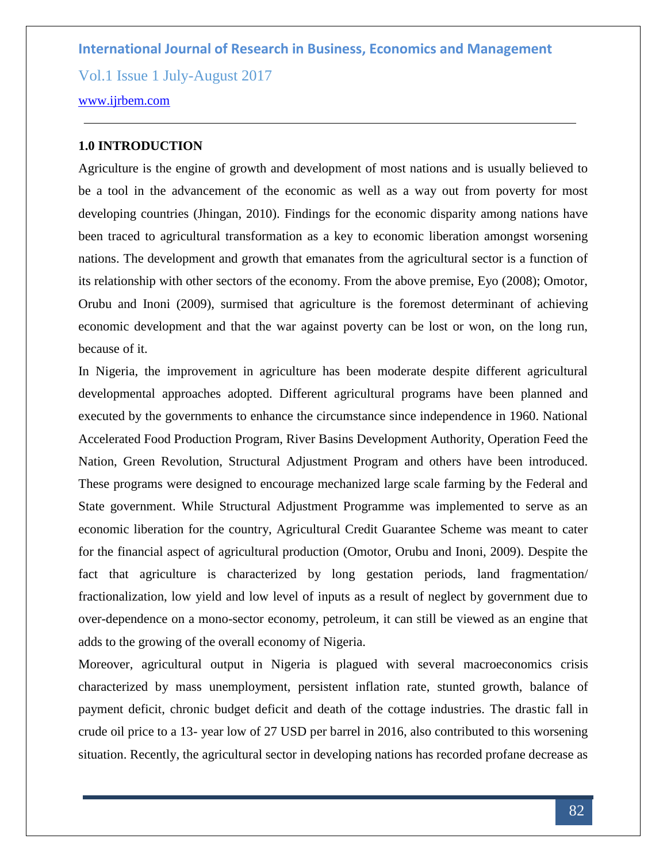Vol.1 Issue 1 July-August 2017

#### [www.ijrbem.com](http://www.ijrbem.com/)

## **1.0 INTRODUCTION**

Agriculture is the engine of growth and development of most nations and is usually believed to be a tool in the advancement of the economic as well as a way out from poverty for most developing countries (Jhingan, 2010). Findings for the economic disparity among nations have been traced to agricultural transformation as a key to economic liberation amongst worsening nations. The development and growth that emanates from the agricultural sector is a function of its relationship with other sectors of the economy. From the above premise, Eyo (2008); Omotor, Orubu and Inoni (2009), surmised that agriculture is the foremost determinant of achieving economic development and that the war against poverty can be lost or won, on the long run, because of it.

In Nigeria, the improvement in agriculture has been moderate despite different agricultural developmental approaches adopted. Different agricultural programs have been planned and executed by the governments to enhance the circumstance since independence in 1960. National Accelerated Food Production Program, River Basins Development Authority, Operation Feed the Nation, Green Revolution, Structural Adjustment Program and others have been introduced. These programs were designed to encourage mechanized large scale farming by the Federal and State government. While Structural Adjustment Programme was implemented to serve as an economic liberation for the country, Agricultural Credit Guarantee Scheme was meant to cater for the financial aspect of agricultural production (Omotor, Orubu and Inoni, 2009). Despite the fact that agriculture is characterized by long gestation periods, land fragmentation/ fractionalization, low yield and low level of inputs as a result of neglect by government due to over-dependence on a mono-sector economy, petroleum, it can still be viewed as an engine that adds to the growing of the overall economy of Nigeria.

Moreover, agricultural output in Nigeria is plagued with several macroeconomics crisis characterized by mass unemployment, persistent inflation rate, stunted growth, balance of payment deficit, chronic budget deficit and death of the cottage industries. The drastic fall in crude oil price to a 13- year low of 27 USD per barrel in 2016, also contributed to this worsening situation. Recently, the agricultural sector in developing nations has recorded profane decrease as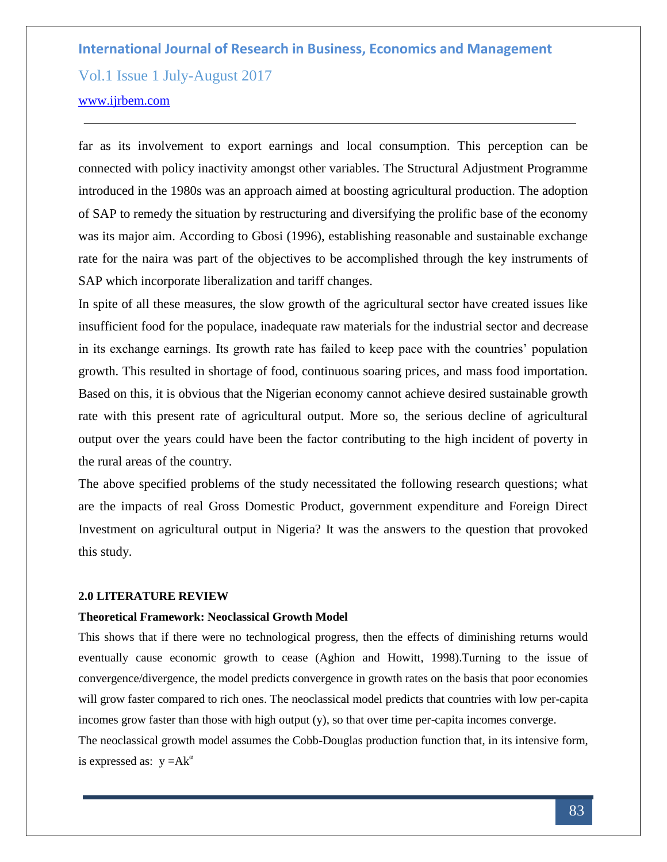Vol.1 Issue 1 July-August 2017

## [www.ijrbem.com](http://www.ijrbem.com/)

far as its involvement to export earnings and local consumption. This perception can be connected with policy inactivity amongst other variables. The Structural Adjustment Programme introduced in the 1980s was an approach aimed at boosting agricultural production. The adoption of SAP to remedy the situation by restructuring and diversifying the prolific base of the economy was its major aim. According to Gbosi (1996), establishing reasonable and sustainable exchange rate for the naira was part of the objectives to be accomplished through the key instruments of SAP which incorporate liberalization and tariff changes.

In spite of all these measures, the slow growth of the agricultural sector have created issues like insufficient food for the populace, inadequate raw materials for the industrial sector and decrease in its exchange earnings. Its growth rate has failed to keep pace with the countries' population growth. This resulted in shortage of food, continuous soaring prices, and mass food importation. Based on this, it is obvious that the Nigerian economy cannot achieve desired sustainable growth rate with this present rate of agricultural output. More so, the serious decline of agricultural output over the years could have been the factor contributing to the high incident of poverty in the rural areas of the country.

The above specified problems of the study necessitated the following research questions; what are the impacts of real Gross Domestic Product, government expenditure and Foreign Direct Investment on agricultural output in Nigeria? It was the answers to the question that provoked this study.

#### **2.0 LITERATURE REVIEW**

## **Theoretical Framework: Neoclassical Growth Model**

This shows that if there were no technological progress, then the effects of diminishing returns would eventually cause economic growth to cease (Aghion and Howitt, 1998).Turning to the issue of convergence/divergence, the model predicts convergence in growth rates on the basis that poor economies will grow faster compared to rich ones. The neoclassical model predicts that countries with low per-capita incomes grow faster than those with high output (y), so that over time per-capita incomes converge.

The neoclassical growth model assumes the Cobb-Douglas production function that, in its intensive form, is expressed as:  $y = Ak^{\alpha}$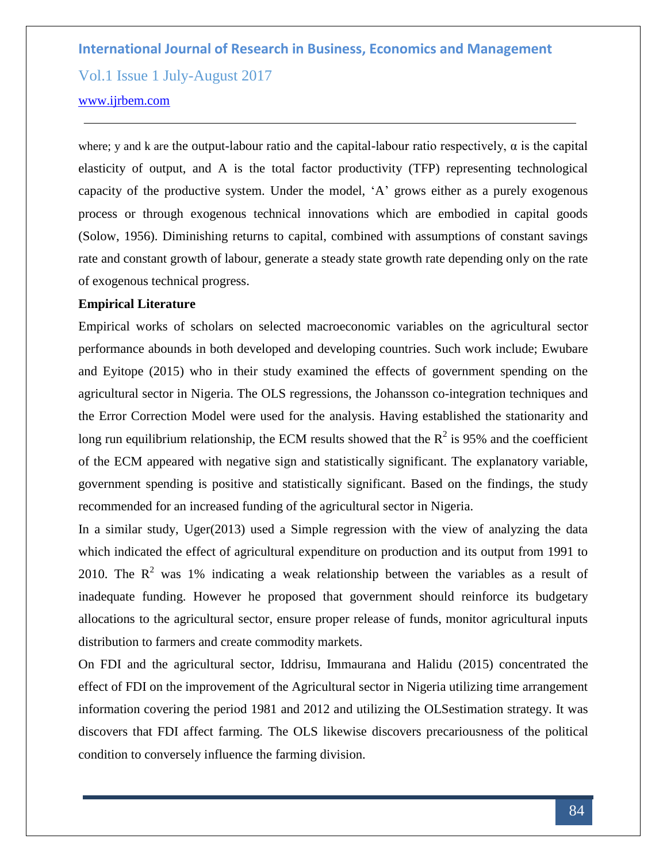Vol.1 Issue 1 July-August 2017

#### [www.ijrbem.com](http://www.ijrbem.com/)

where; y and k are the output-labour ratio and the capital-labour ratio respectively,  $\alpha$  is the capital elasticity of output, and A is the total factor productivity (TFP) representing technological capacity of the productive system. Under the model, 'A' grows either as a purely exogenous process or through exogenous technical innovations which are embodied in capital goods (Solow, 1956). Diminishing returns to capital, combined with assumptions of constant savings rate and constant growth of labour, generate a steady state growth rate depending only on the rate of exogenous technical progress.

#### **Empirical Literature**

Empirical works of scholars on selected macroeconomic variables on the agricultural sector performance abounds in both developed and developing countries. Such work include; Ewubare and Eyitope (2015) who in their study examined the effects of government spending on the agricultural sector in Nigeria. The OLS regressions, the Johansson co-integration techniques and the Error Correction Model were used for the analysis. Having established the stationarity and long run equilibrium relationship, the ECM results showed that the  $R^2$  is 95% and the coefficient of the ECM appeared with negative sign and statistically significant. The explanatory variable, government spending is positive and statistically significant. Based on the findings, the study recommended for an increased funding of the agricultural sector in Nigeria.

In a similar study, Uger(2013) used a Simple regression with the view of analyzing the data which indicated the effect of agricultural expenditure on production and its output from 1991 to 2010. The  $R^2$  was 1% indicating a weak relationship between the variables as a result of inadequate funding. However he proposed that government should reinforce its budgetary allocations to the agricultural sector, ensure proper release of funds, monitor agricultural inputs distribution to farmers and create commodity markets.

On FDI and the agricultural sector, Iddrisu, Immaurana and Halidu (2015) concentrated the effect of FDI on the improvement of the Agricultural sector in Nigeria utilizing time arrangement information covering the period 1981 and 2012 and utilizing the OLSestimation strategy. It was discovers that FDI affect farming. The OLS likewise discovers precariousness of the political condition to conversely influence the farming division.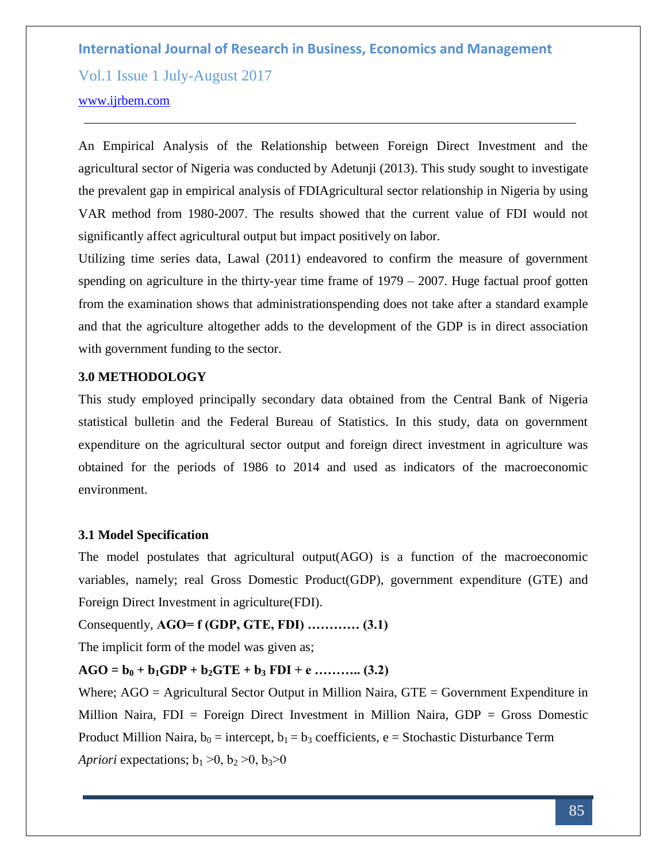Vol.1 Issue 1 July-August 2017

#### [www.ijrbem.com](http://www.ijrbem.com/)

An Empirical Analysis of the Relationship between Foreign Direct Investment and the agricultural sector of Nigeria was conducted by Adetunji (2013). This study sought to investigate the prevalent gap in empirical analysis of FDIAgricultural sector relationship in Nigeria by using VAR method from 1980-2007. The results showed that the current value of FDI would not significantly affect agricultural output but impact positively on labor.

Utilizing time series data, Lawal (2011) endeavored to confirm the measure of government spending on agriculture in the thirty-year time frame of 1979 – 2007. Huge factual proof gotten from the examination shows that administrationspending does not take after a standard example and that the agriculture altogether adds to the development of the GDP is in direct association with government funding to the sector.

## **3.0 METHODOLOGY**

This study employed principally secondary data obtained from the Central Bank of Nigeria statistical bulletin and the Federal Bureau of Statistics. In this study, data on government expenditure on the agricultural sector output and foreign direct investment in agriculture was obtained for the periods of 1986 to 2014 and used as indicators of the macroeconomic environment.

## **3.1 Model Specification**

The model postulates that agricultural output(AGO) is a function of the macroeconomic variables, namely; real Gross Domestic Product(GDP), government expenditure (GTE) and Foreign Direct Investment in agriculture(FDI).

Consequently, **AGO= f (GDP, GTE, FDI) ………… (3.1)**

The implicit form of the model was given as;

# $AGO = b_0 + b_1GDP + b_2GTE + b_3FDI + e$  ……….. (3.2)

Where; AGO = Agricultural Sector Output in Million Naira, GTE = Government Expenditure in Million Naira, FDI = Foreign Direct Investment in Million Naira, GDP = Gross Domestic Product Million Naira,  $b_0$  = intercept,  $b_1 = b_3$  coefficients, e = Stochastic Disturbance Term *Apriori* expectations;  $b_1 > 0$ ,  $b_2 > 0$ ,  $b_3 > 0$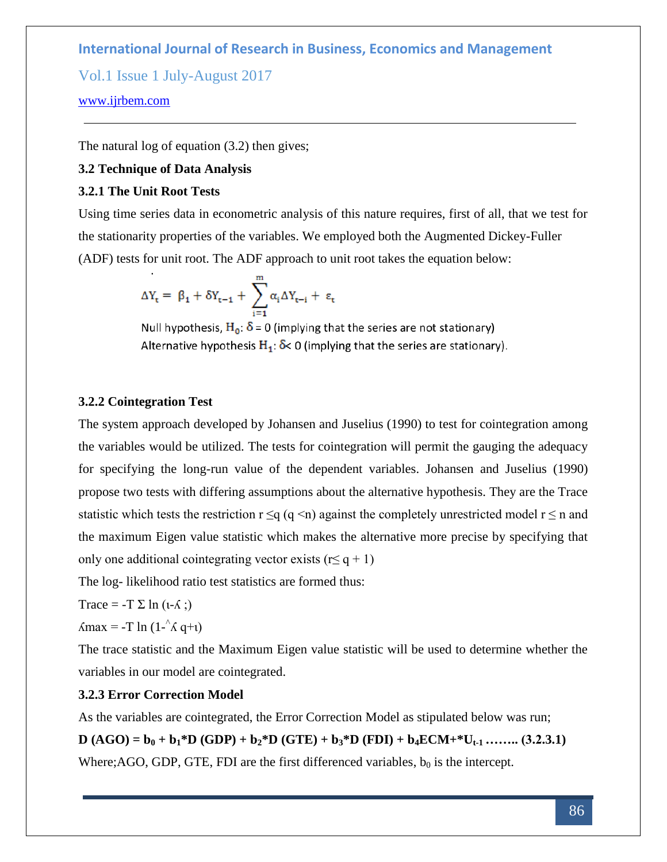Vol.1 Issue 1 July-August 2017

## [www.ijrbem.com](http://www.ijrbem.com/)

The natural log of equation (3.2) then gives;

# **3.2 Technique of Data Analysis**

# **3.2.1 The Unit Root Tests**

Using time series data in econometric analysis of this nature requires, first of all, that we test for the stationarity properties of the variables. We employed both the Augmented Dickey-Fuller (ADF) tests for unit root. The ADF approach to unit root takes the equation below:

$$
\Delta Y_t = \beta_1 + \delta Y_{t-1} + \sum_{i=1}^{m} \alpha_i \Delta Y_{t-i} + \epsilon_t
$$

Null hypothesis,  $H_0$ :  $\delta$  = 0 (implying that the series are not stationary) Alternative hypothesis  $H_1$ :  $\delta$ < 0 (implying that the series are stationary).

#### **3.2.2 Cointegration Test**

The system approach developed by Johansen and Juselius (1990) to test for cointegration among the variables would be utilized. The tests for cointegration will permit the gauging the adequacy for specifying the long-run value of the dependent variables. Johansen and Juselius (1990) propose two tests with differing assumptions about the alternative hypothesis. They are the Trace statistic which tests the restriction  $r \leq q$  (q <n) against the completely unrestricted model  $r \leq n$  and the maximum Eigen value statistic which makes the alternative more precise by specifying that only one additional cointegrating vector exists ( $r \leq q + 1$ )

The log- likelihood ratio test statistics are formed thus:

Trace =  $-T \Sigma \ln (1 - \Lambda ; )$ 

 $\Lambda$ max = -T ln (1- $\Lambda$  q+ $\iota$ )

The trace statistic and the Maximum Eigen value statistic will be used to determine whether the variables in our model are cointegrated.

#### **3.2.3 Error Correction Model**

As the variables are cointegrated, the Error Correction Model as stipulated below was run;

**D**  $(AGO) = b_0 + b_1 * D$   $(GDP) + b_2 * D$   $(GTE) + b_3 * D$   $(FDI) + b_4 ECM + U_{t-1}$  **……..** (3.2.3.1) Where; AGO, GDP, GTE, FDI are the first differenced variables,  $b_0$  is the intercept.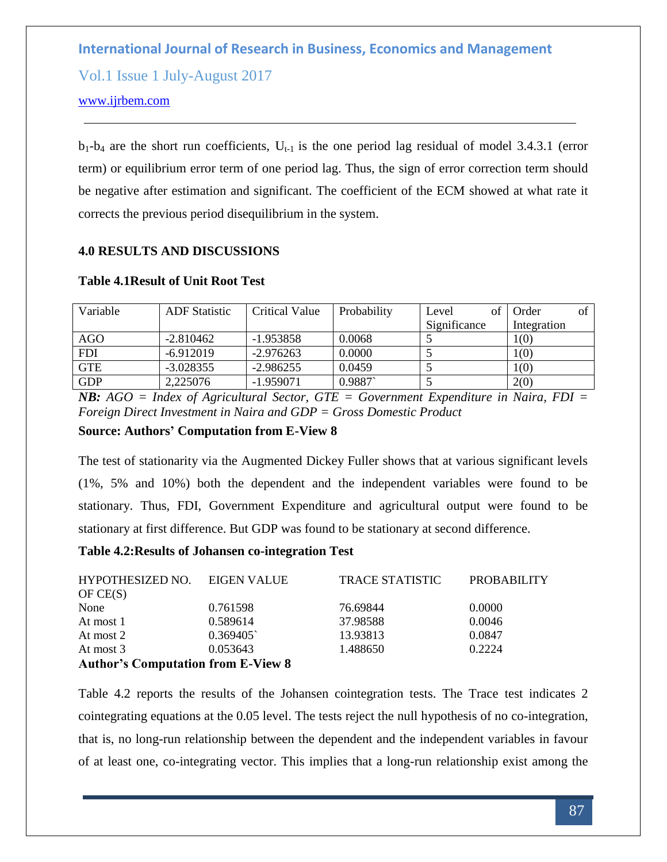Vol.1 Issue 1 July-August 2017

## [www.ijrbem.com](http://www.ijrbem.com/)

 $b_1-b_4$  are the short run coefficients,  $U_{t-1}$  is the one period lag residual of model 3.4.3.1 (error term) or equilibrium error term of one period lag. Thus, the sign of error correction term should be negative after estimation and significant. The coefficient of the ECM showed at what rate it corrects the previous period disequilibrium in the system.

# **4.0 RESULTS AND DISCUSSIONS**

| Variable   | <b>ADF</b> Statistic | Critical Value | Probability | Level        | Order<br>ot |
|------------|----------------------|----------------|-------------|--------------|-------------|
|            |                      |                |             | Significance | Integration |
| <b>AGO</b> | $-2.810462$          | $-1.953858$    | 0.0068      |              | 1(0)        |
| <b>FDI</b> | $-6.912019$          | $-2.976263$    | 0.0000      |              | 1(0)        |
| <b>GTE</b> | $-3.028355$          | $-2.986255$    | 0.0459      |              | 1(0)        |
| <b>GDP</b> | 2,225076             | $-1.959071$    | 0.9887      |              | 2(0)        |

#### **Table 4.1Result of Unit Root Test**

*NB: AGO = Index of Agricultural Sector, GTE = Government Expenditure in Naira, FDI = Foreign Direct Investment in Naira and GDP = Gross Domestic Product*

## **Source: Authors' Computation from E-View 8**

The test of stationarity via the Augmented Dickey Fuller shows that at various significant levels (1%, 5% and 10%) both the dependent and the independent variables were found to be stationary. Thus, FDI, Government Expenditure and agricultural output were found to be stationary at first difference. But GDP was found to be stationary at second difference.

## **Table 4.2:Results of Johansen co-integration Test**

| HYPOTHESIZED NO.                          | EIGEN VALUE | <b>TRACE STATISTIC</b> | <b>PROBABILITY</b> |
|-------------------------------------------|-------------|------------------------|--------------------|
| OFCE(S)                                   |             |                        |                    |
| None                                      | 0.761598    | 76.69844               | 0.0000             |
| At most 1                                 | 0.589614    | 37.98588               | 0.0046             |
| At most 2                                 | 0.369405    | 13.93813               | 0.0847             |
| At most 3                                 | 0.053643    | 1.488650               | 0.2224             |
| <b>Author's Computation from E-View 8</b> |             |                        |                    |

Table 4.2 reports the results of the Johansen cointegration tests. The Trace test indicates 2 cointegrating equations at the 0.05 level. The tests reject the null hypothesis of no co-integration, that is, no long-run relationship between the dependent and the independent variables in favour of at least one, co-integrating vector. This implies that a long-run relationship exist among the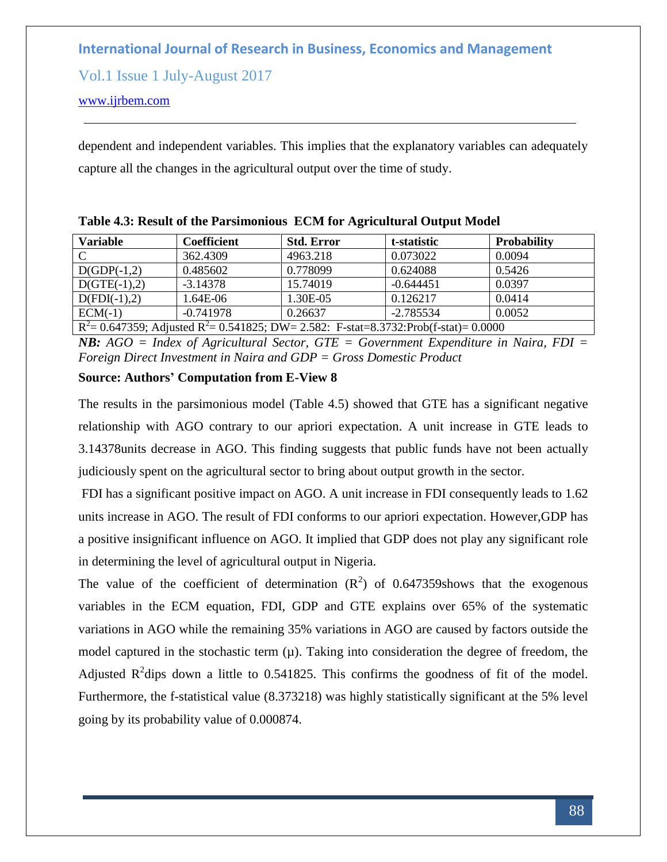Vol.1 Issue 1 July-August 2017

## [www.ijrbem.com](http://www.ijrbem.com/)

dependent and independent variables. This implies that the explanatory variables can adequately capture all the changes in the agricultural output over the time of study.

| <b>Variable</b>                                                                                         | <b>Coefficient</b> | <b>Std. Error</b> | t-statistic | <b>Probability</b> |  |  |
|---------------------------------------------------------------------------------------------------------|--------------------|-------------------|-------------|--------------------|--|--|
| C                                                                                                       | 362.4309           | 4963.218          | 0.073022    | 0.0094             |  |  |
| $D(GDP(-1,2))$                                                                                          | 0.485602           | 0.778099          | 0.624088    | 0.5426             |  |  |
| $D(GTE(-1),2)$                                                                                          | $-3.14378$         | 15.74019          | $-0.644451$ | 0.0397             |  |  |
| $D(FDI(-1),2)$                                                                                          | 1.64E-06           | 1.30E-05          | 0.126217    | 0.0414             |  |  |
| $ECM(-1)$                                                                                               | $-0.741978$        | 0.26637           | $-2.785534$ | 0.0052             |  |  |
| $\overline{R^2}$ = 0.647359; Adjusted $R^2$ = 0.541825; DW = 2.582: F-stat=8.3732:Prob(f-stat) = 0.0000 |                    |                   |             |                    |  |  |

**Table 4.3: Result of the Parsimonious ECM for Agricultural Output Model** 

*NB: AGO = Index of Agricultural Sector, GTE = Government Expenditure in Naira, FDI = Foreign Direct Investment in Naira and GDP = Gross Domestic Product*

# **Source: Authors' Computation from E-View 8**

The results in the parsimonious model (Table 4.5) showed that GTE has a significant negative relationship with AGO contrary to our apriori expectation. A unit increase in GTE leads to 3.14378units decrease in AGO. This finding suggests that public funds have not been actually judiciously spent on the agricultural sector to bring about output growth in the sector.

FDI has a significant positive impact on AGO. A unit increase in FDI consequently leads to 1.62 units increase in AGO. The result of FDI conforms to our apriori expectation. However,GDP has a positive insignificant influence on AGO. It implied that GDP does not play any significant role in determining the level of agricultural output in Nigeria.

The value of the coefficient of determination  $(R^2)$  of 0.647359shows that the exogenous variables in the ECM equation, FDI, GDP and GTE explains over 65% of the systematic variations in AGO while the remaining 35% variations in AGO are caused by factors outside the model captured in the stochastic term  $(\mu)$ . Taking into consideration the degree of freedom, the Adjusted  $R^2$ dips down a little to 0.541825. This confirms the goodness of fit of the model. Furthermore, the f-statistical value (8.373218) was highly statistically significant at the 5% level going by its probability value of 0.000874.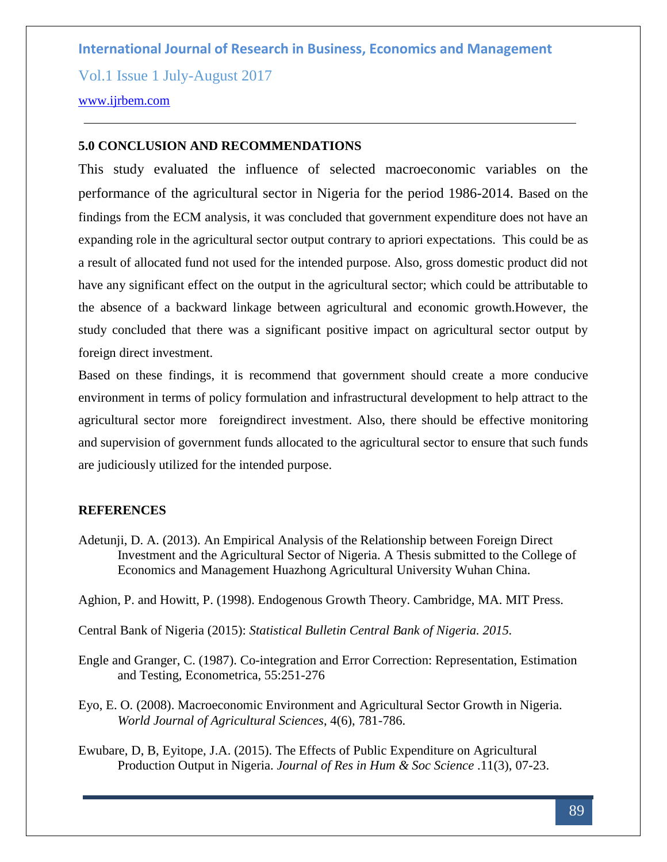Vol.1 Issue 1 July-August 2017

# [www.ijrbem.com](http://www.ijrbem.com/)

## **5.0 CONCLUSION AND RECOMMENDATIONS**

This study evaluated the influence of selected macroeconomic variables on the performance of the agricultural sector in Nigeria for the period 1986-2014. Based on the findings from the ECM analysis, it was concluded that government expenditure does not have an expanding role in the agricultural sector output contrary to apriori expectations. This could be as a result of allocated fund not used for the intended purpose. Also, gross domestic product did not have any significant effect on the output in the agricultural sector; which could be attributable to the absence of a backward linkage between agricultural and economic growth.However, the study concluded that there was a significant positive impact on agricultural sector output by foreign direct investment.

Based on these findings, it is recommend that government should create a more conducive environment in terms of policy formulation and infrastructural development to help attract to the agricultural sector more foreigndirect investment. Also, there should be effective monitoring and supervision of government funds allocated to the agricultural sector to ensure that such funds are judiciously utilized for the intended purpose.

## **REFERENCES**

Adetunji, D. A. (2013). An Empirical Analysis of the Relationship between Foreign Direct Investment and the Agricultural Sector of Nigeria. A Thesis submitted to the College of Economics and Management Huazhong Agricultural University Wuhan China.

Aghion, P. and Howitt, P. (1998). Endogenous Growth Theory. Cambridge, MA. MIT Press.

Central Bank of Nigeria (2015): *Statistical Bulletin Central Bank of Nigeria. 2015.*

- Engle and Granger, C. (1987). Co-integration and Error Correction: Representation, Estimation and Testing, Econometrica, 55:251-276
- Eyo, E. O. (2008). Macroeconomic Environment and Agricultural Sector Growth in Nigeria. *World Journal of Agricultural Sciences*, 4(6), 781-786.
- Ewubare, D, B, Eyitope, J.A. (2015). The Effects of Public Expenditure on Agricultural Production Output in Nigeria. *Journal of Res in Hum & Soc Science* .11(3), 07-23.